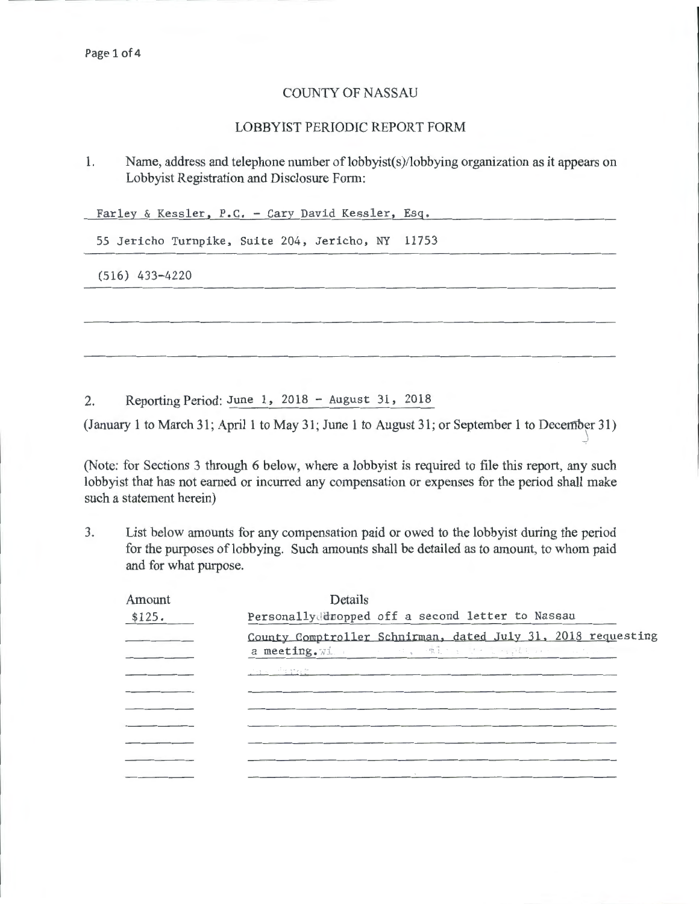## COUNTY OF NASSAU

## LOBBYIST PERIODIC REPORT FORM

1. Name, address and telephone number of lobbyist(s)/lobbying organization as it appears on Lobbyist Registration and Disclosure Form:

Farley & Kessler, P.C. - Cary David Kessler, Esq.

55 Jericho Turnpike, Suite 204, Jericho, NY 11753

(516) 433-4220

2. Reporting Period: June 1, 2018 - August 31, 2018

(January 1 to March 31; April 1 to May 31; June 1 to August 31; or September 1 to December 31) )

(Note: for Sections 3 through 6 below, where a lobbyist is required to file this report, any such lobbyist that has not earned or incurred any compensation or expenses for the period shall make such a statement herein)

3. List below amounts for any compensation paid or owed to the lobbyist during the period for the purposes of lobbying. Such amounts shall be detailed as to amount, to whom paid and for what purpose.

| Amount | Details                                                                                                                                                                                                                                                                                        |
|--------|------------------------------------------------------------------------------------------------------------------------------------------------------------------------------------------------------------------------------------------------------------------------------------------------|
| \$125. | Personally dropped off a second letter to Nassau                                                                                                                                                                                                                                               |
|        | County Comptroller Schnirman, dated July 31, 2018 requesting<br>a meeting. With the second with the second second second second second second second second second second second second second second second second second second second second second second second second second second seco |
|        | <u>Jak Pershop</u>                                                                                                                                                                                                                                                                             |
|        |                                                                                                                                                                                                                                                                                                |
|        |                                                                                                                                                                                                                                                                                                |
|        |                                                                                                                                                                                                                                                                                                |
|        |                                                                                                                                                                                                                                                                                                |
|        |                                                                                                                                                                                                                                                                                                |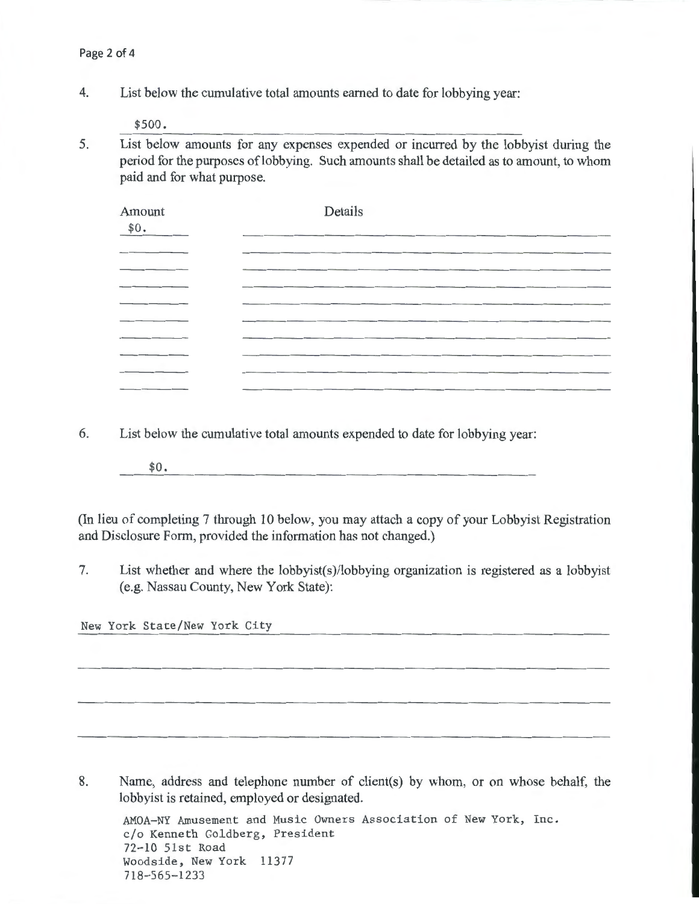4. List below the cumulative total amounts earned to date for lobbying year:

\$500.

5. List below amounts for any expenses expended or incurred by the lobbyist during the period for the purposes of lobbying. Such amounts shall be detailed as to amount, to whom paid and for what purpose.

| Amount<br>\$0. | Details                                                                                                         |
|----------------|-----------------------------------------------------------------------------------------------------------------|
|                |                                                                                                                 |
|                |                                                                                                                 |
| _____          |                                                                                                                 |
|                |                                                                                                                 |
|                |                                                                                                                 |
|                |                                                                                                                 |
|                |                                                                                                                 |
|                |                                                                                                                 |
| _______        | the contract of the contract of the contract of the contract of the contract of the contract of the contract of |

6. List below the cumulative total amounts expended to date for lobbying year:

\$0.

(In lieu of completing 7 through 10 below, you may attach a copy of your Lobbyist Registration and Disclosure Form, provided the information has not changed.)

7. List whether and where the lobbyist(s)/lobbying organization is registered as a lobbyist (e.g. Nassau County, New York State):

New York State/New York City

8. Name, address and telephone number of client(s) by whom, or on whose behalf, the lobbyist is retained, employed or designated.

AMOA-NY Amusement and Music Owners Association of New York, Inc. c/o Kenneth Goldberg, President 72-10 51st Road Woodside, New York 11377 718-565-1233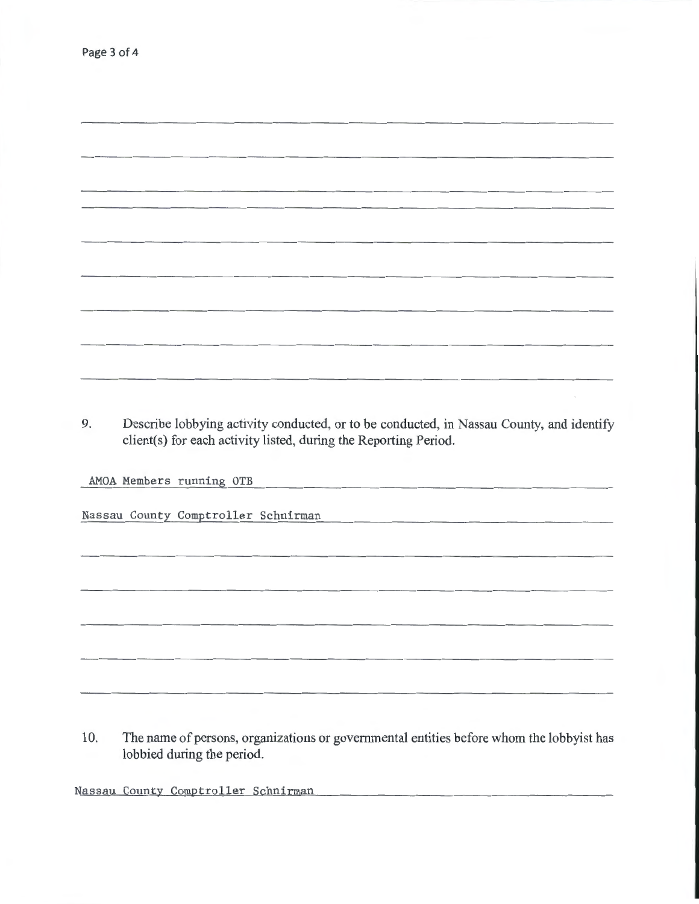9. Describe lobbying activity conducted, or to be conducted, in Nassau County, and identify client(s) for each activity listed, during the Reporting Period.

AMOA Members running OTB

Nassau County Comptroller Schnirman

10. The name of persons, organizations or governmental entities before whom the lobbyist has lobbied during the period.

Nassau County Comptroller Schnirman